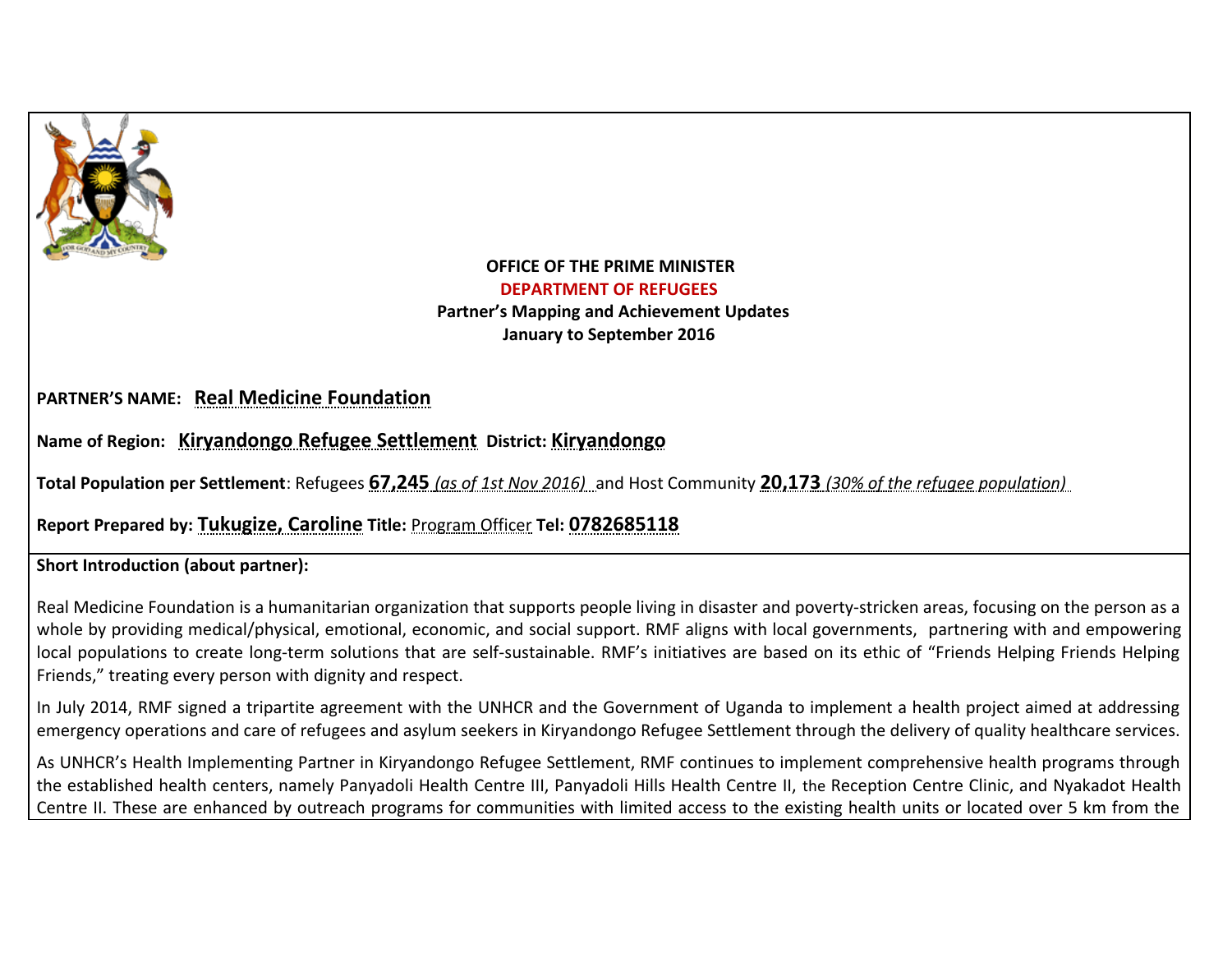

## **OFFICE OF THE PRIME MINISTER DEPARTMENT OF REFUGEES Partner's Mapping and Achievement Updates January to September 2016**

## **PARTNER'S NAME: Real Medicine Foundation**

**Name of Region: Kiryandongo Refugee Settlement District: Kiryandongo**

**Total Population per Settlement**: Refugees **67,245** *(as of 1st Nov 2016)*and Host Community **20,173** *(30% of the refugee population)* 

**Report Prepared by: Tukugize, Caroline Title:** Program Officer **Tel: 0782685118**

## **Short Introduction (about partner):**

Real Medicine Foundation is a humanitarian organization that supports people living in disaster and poverty-stricken areas, focusing on the person as a whole by providing medical/physical, emotional, economic, and social support. RMF aligns with local governments, partnering with and empowering local populations to create long-term solutions that are self-sustainable. RMF's initiatives are based on its ethic of "Friends Helping Friends Helping Friends," treating every person with dignity and respect.

In July 2014, RMF signed a tripartite agreement with the UNHCR and the Government of Uganda to implement a health project aimed at addressing emergency operations and care of refugees and asylum seekers in Kiryandongo Refugee Settlement through the delivery of quality healthcare services.

As UNHCR's Health Implementing Partner in Kiryandongo Refugee Settlement, RMF continues to implement comprehensive health programs through the established health centers, namely Panyadoli Health Centre III, Panyadoli Hills Health Centre II, the Reception Centre Clinic, and Nyakadot Health Centre II. These are enhanced by outreach programs for communities with limited access to the existing health units or located over 5 km from the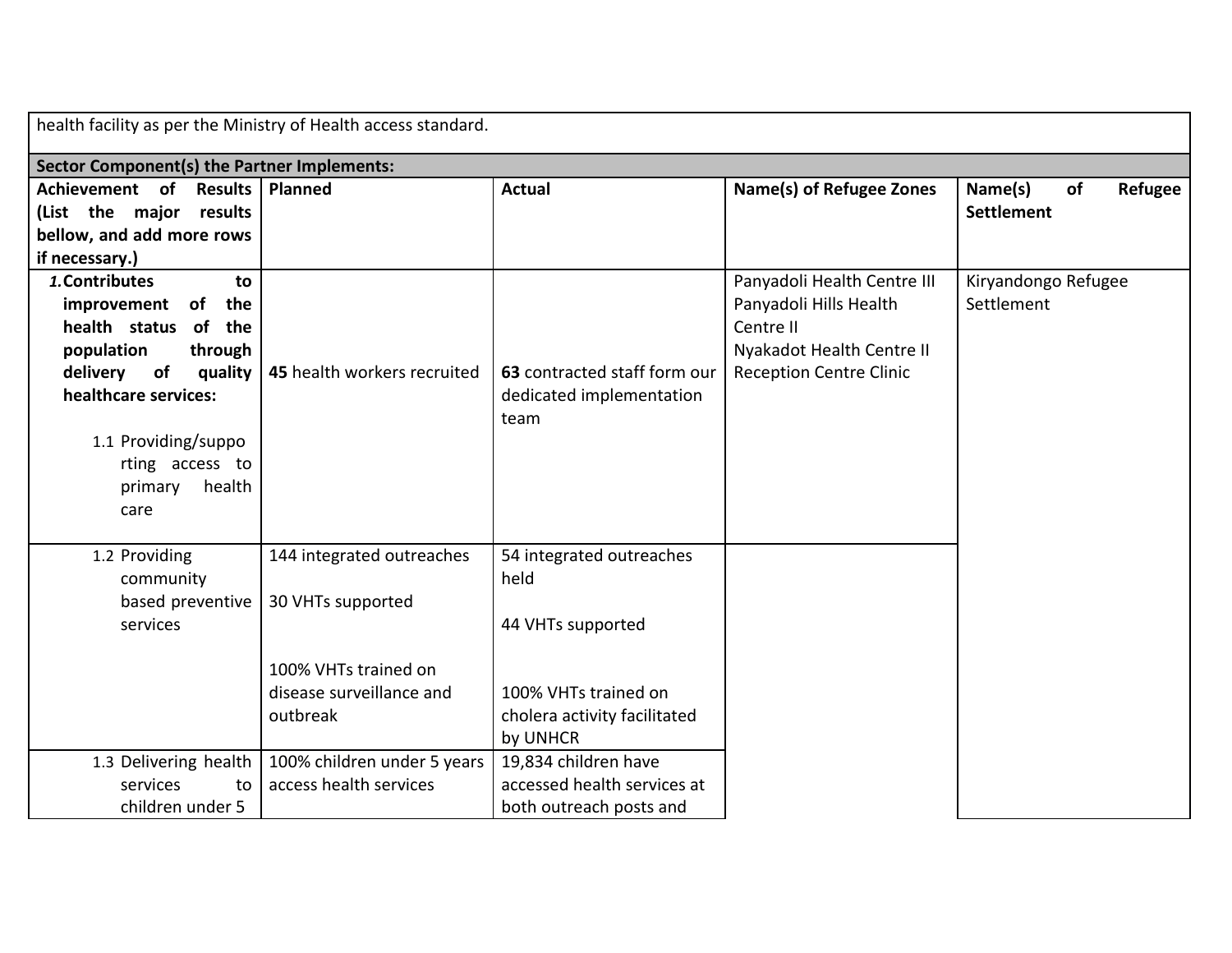| health facility as per the Ministry of Health access standard.                                                                                                                                                       |                                                                                                                |                                                                                                                           |                                                                                                                                   |                                               |
|----------------------------------------------------------------------------------------------------------------------------------------------------------------------------------------------------------------------|----------------------------------------------------------------------------------------------------------------|---------------------------------------------------------------------------------------------------------------------------|-----------------------------------------------------------------------------------------------------------------------------------|-----------------------------------------------|
| Sector Component(s) the Partner Implements:                                                                                                                                                                          |                                                                                                                |                                                                                                                           |                                                                                                                                   |                                               |
| Achievement of<br>(List the major results<br>bellow, and add more rows<br>if necessary.)                                                                                                                             | Results   Planned                                                                                              | <b>Actual</b>                                                                                                             | Name(s) of Refugee Zones                                                                                                          | Refugee<br>Name(s)<br>of<br><b>Settlement</b> |
| 1. Contributes<br>to<br>improvement of the<br>health status of the<br>population<br>through<br>delivery of<br>quality<br>healthcare services:<br>1.1 Providing/suppo<br>rting access to<br>primary<br>health<br>care | 45 health workers recruited                                                                                    | 63 contracted staff form our<br>dedicated implementation<br>team                                                          | Panyadoli Health Centre III<br>Panyadoli Hills Health<br>Centre II<br>Nyakadot Health Centre II<br><b>Reception Centre Clinic</b> | Kiryandongo Refugee<br>Settlement             |
| 1.2 Providing<br>community<br>based preventive<br>services                                                                                                                                                           | 144 integrated outreaches<br>30 VHTs supported<br>100% VHTs trained on<br>disease surveillance and<br>outbreak | 54 integrated outreaches<br>held<br>44 VHTs supported<br>100% VHTs trained on<br>cholera activity facilitated<br>by UNHCR |                                                                                                                                   |                                               |
| 1.3 Delivering health<br>services<br>to I<br>children under 5                                                                                                                                                        | 100% children under 5 years<br>access health services                                                          | 19,834 children have<br>accessed health services at<br>both outreach posts and                                            |                                                                                                                                   |                                               |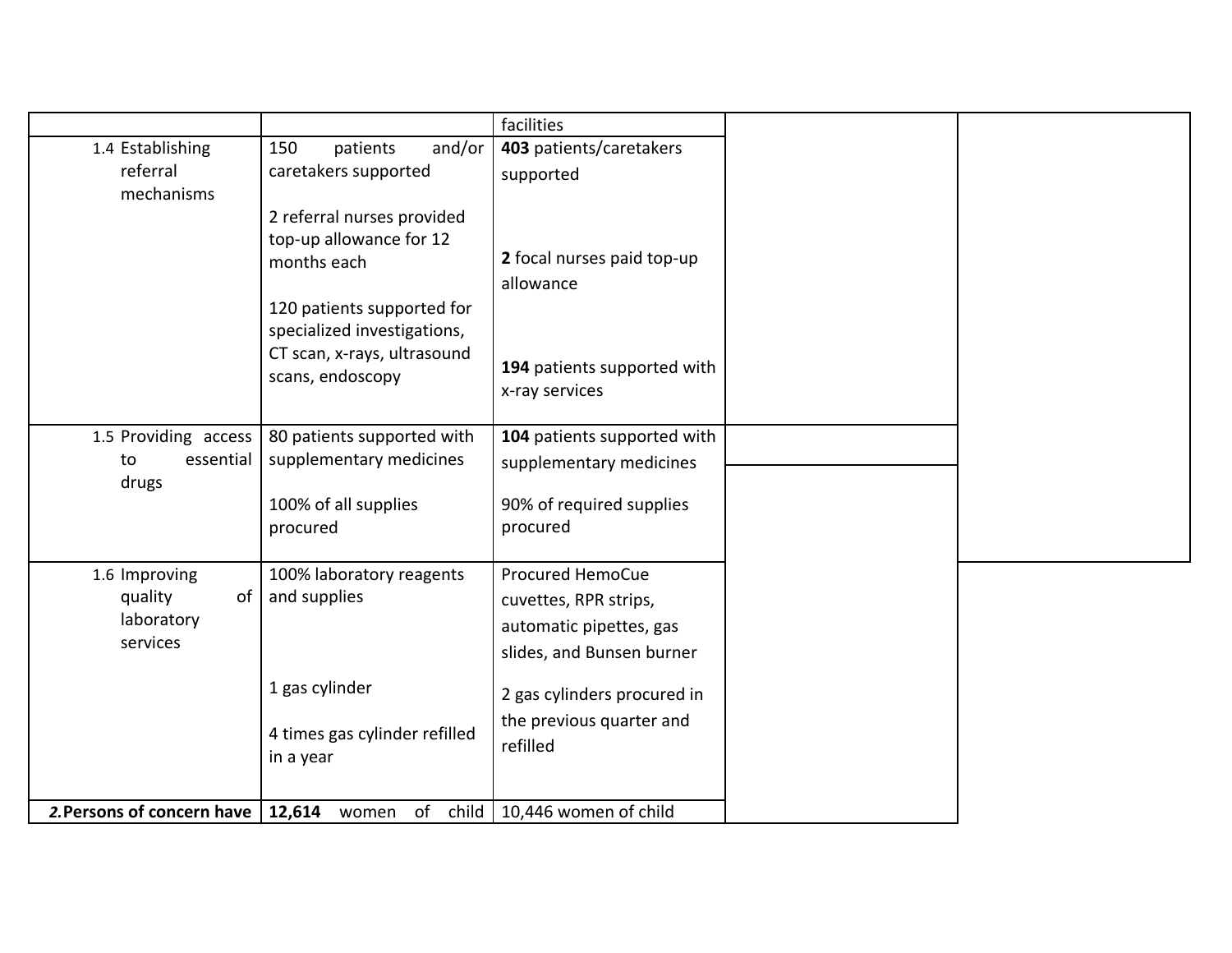|                                                          |                                                                                                                                                                                      | facilities                                                                                               |  |
|----------------------------------------------------------|--------------------------------------------------------------------------------------------------------------------------------------------------------------------------------------|----------------------------------------------------------------------------------------------------------|--|
| 1.4 Establishing                                         | and/or<br>150<br>patients                                                                                                                                                            | 403 patients/caretakers                                                                                  |  |
| referral<br>mechanisms                                   | caretakers supported                                                                                                                                                                 | supported                                                                                                |  |
|                                                          | 2 referral nurses provided<br>top-up allowance for 12<br>months each<br>120 patients supported for<br>specialized investigations,<br>CT scan, x-rays, ultrasound<br>scans, endoscopy | 2 focal nurses paid top-up<br>allowance<br>194 patients supported with<br>x-ray services                 |  |
| 1.5 Providing access<br>essential<br>to<br>drugs         | 80 patients supported with<br>supplementary medicines<br>100% of all supplies<br>procured                                                                                            | 104 patients supported with<br>supplementary medicines<br>90% of required supplies<br>procured           |  |
| 1.6 Improving<br>quality<br>of<br>laboratory<br>services | 100% laboratory reagents<br>and supplies                                                                                                                                             | <b>Procured HemoCue</b><br>cuvettes, RPR strips,<br>automatic pipettes, gas<br>slides, and Bunsen burner |  |
|                                                          | 1 gas cylinder<br>4 times gas cylinder refilled<br>in a year                                                                                                                         | 2 gas cylinders procured in<br>the previous quarter and<br>refilled                                      |  |
| 2. Persons of concern have                               | 12,614 women<br>of<br>child                                                                                                                                                          | 10,446 women of child                                                                                    |  |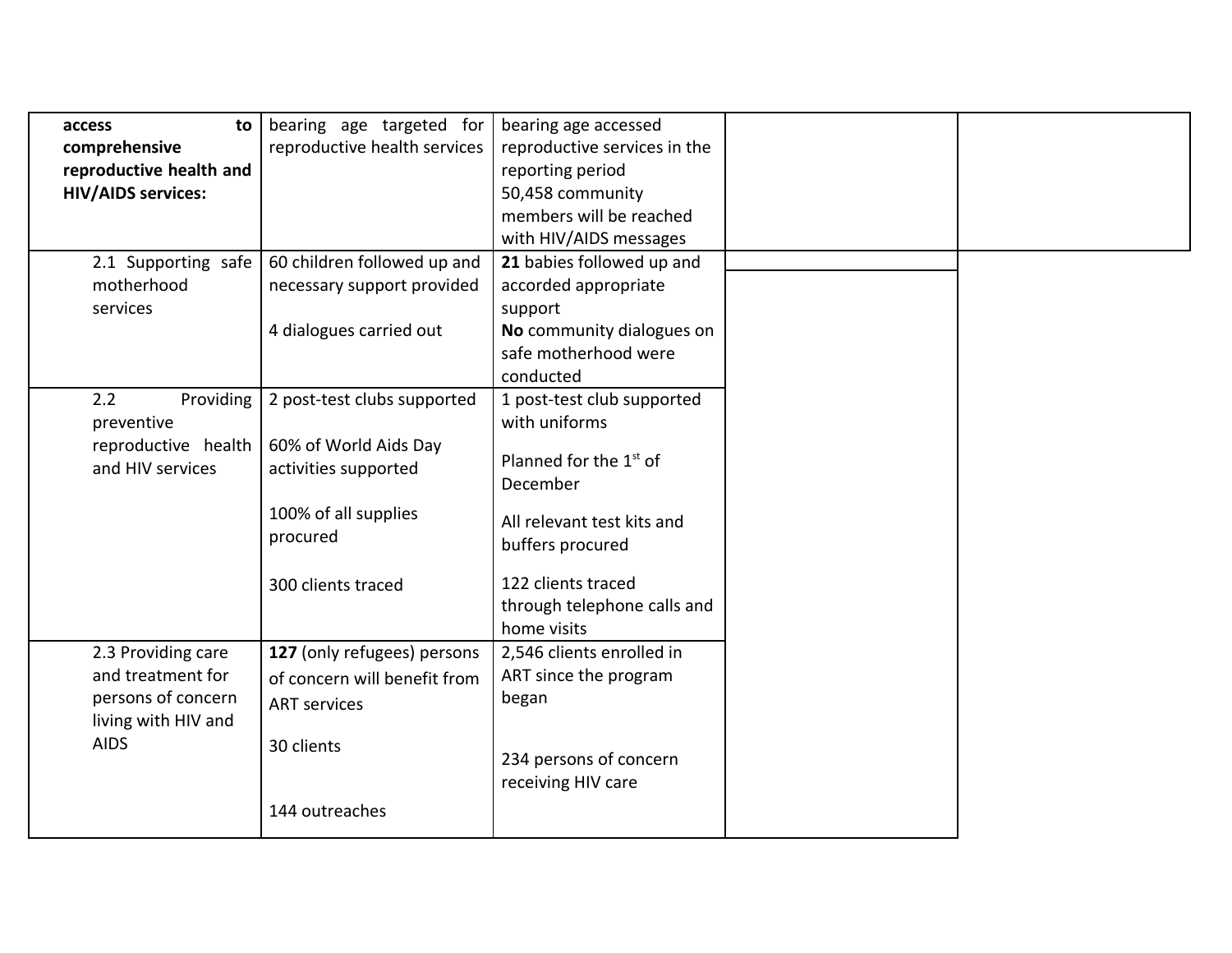| to<br>access              | bearing age targeted for     | bearing age accessed               |  |
|---------------------------|------------------------------|------------------------------------|--|
| comprehensive             | reproductive health services | reproductive services in the       |  |
| reproductive health and   |                              | reporting period                   |  |
| <b>HIV/AIDS services:</b> |                              | 50,458 community                   |  |
|                           |                              | members will be reached            |  |
|                           |                              | with HIV/AIDS messages             |  |
| 2.1 Supporting safe       | 60 children followed up and  | 21 babies followed up and          |  |
| motherhood                | necessary support provided   | accorded appropriate               |  |
| services                  |                              | support                            |  |
|                           | 4 dialogues carried out      | No community dialogues on          |  |
|                           |                              | safe motherhood were               |  |
|                           |                              | conducted                          |  |
| Providing<br>2.2          | 2 post-test clubs supported  | 1 post-test club supported         |  |
| preventive                |                              | with uniforms                      |  |
| reproductive health       | 60% of World Aids Day        | Planned for the 1 <sup>st</sup> of |  |
| and HIV services          | activities supported         | December                           |  |
|                           |                              |                                    |  |
|                           | 100% of all supplies         | All relevant test kits and         |  |
|                           | procured                     | buffers procured                   |  |
|                           | 300 clients traced           | 122 clients traced                 |  |
|                           |                              | through telephone calls and        |  |
|                           |                              | home visits                        |  |
| 2.3 Providing care        | 127 (only refugees) persons  | 2,546 clients enrolled in          |  |
| and treatment for         | of concern will benefit from | ART since the program              |  |
| persons of concern        | <b>ART</b> services          | began                              |  |
| living with HIV and       |                              |                                    |  |
| <b>AIDS</b>               | 30 clients                   |                                    |  |
|                           |                              | 234 persons of concern             |  |
|                           |                              | receiving HIV care                 |  |
|                           | 144 outreaches               |                                    |  |
|                           |                              |                                    |  |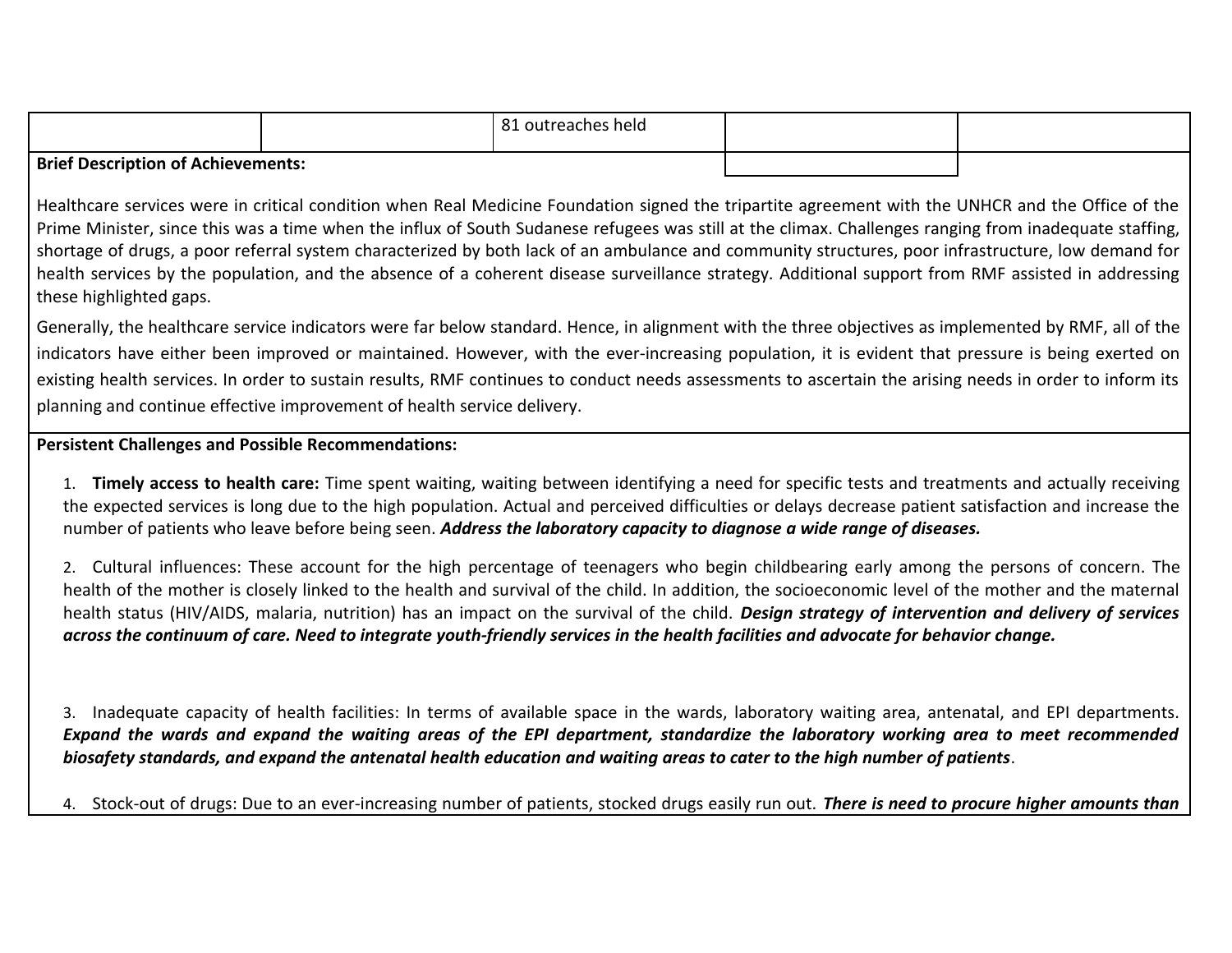|                                           | O <sub>1</sub><br>. outreaches held |  |
|-------------------------------------------|-------------------------------------|--|
| <b>Brief Description of Achievements:</b> |                                     |  |

Healthcare services were in critical condition when Real Medicine Foundation signed the tripartite agreement with the UNHCR and the Office of the Prime Minister, since this was a time when the influx of South Sudanese refugees was still at the climax. Challenges ranging from inadequate staffing, shortage of drugs, a poor referral system characterized by both lack of an ambulance and community structures, poor infrastructure, low demand for health services by the population, and the absence of a coherent disease surveillance strategy. Additional support from RMF assisted in addressing these highlighted gaps.

Generally, the healthcare service indicators were far below standard. Hence, in alignment with the three objectives as implemented by RMF, all of the indicators have either been improved or maintained. However, with the ever-increasing population, it is evident that pressure is being exerted on existing health services. In order to sustain results, RMF continues to conduct needs assessments to ascertain the arising needs in order to inform its planning and continue effective improvement of health service delivery.

## **Persistent Challenges and Possible Recommendations:**

1. **Timely access to health care:** Time spent waiting, waiting between identifying a need for specific tests and treatments and actually receiving the expected services is long due to the high population. Actual and perceived difficulties or delays decrease patient satisfaction and increase the number of patients who leave before being seen. *Address the laboratory capacity to diagnose a wide range of diseases.* 

2. Cultural influences: These account for the high percentage of teenagers who begin childbearing early among the persons of concern. The health of the mother is closely linked to the health and survival of the child. In addition, the socioeconomic level of the mother and the maternal health status (HIV/AIDS, malaria, nutrition) has an impact on the survival of the child. *Design strategy of intervention and delivery of services across the continuum of care. Need to integrate youth-friendly services in the health facilities and advocate for behavior change.* 

3. Inadequate capacity of health facilities: In terms of available space in the wards, laboratory waiting area, antenatal, and EPI departments. *Expand the wards and expand the waiting areas of the EPI department, standardize the laboratory working area to meet recommended biosafety standards, and expand the antenatal health education and waiting areas to cater to the high number of patients*.

4. Stock-out of drugs: Due to an ever-increasing number of patients, stocked drugs easily run out. *There is need to procure higher amounts than*